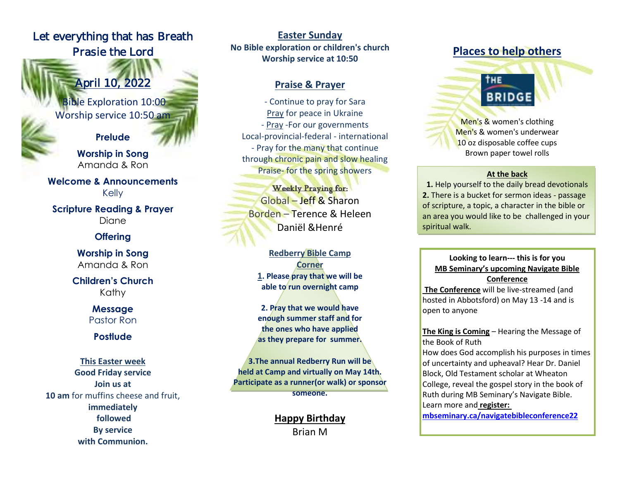# Let everything that has Breath Prasie the Lord

l

ĵ

April 10, 2022

Bible Exploration 10:00 Worship service 10:50 am

**Prelude**

**Worship in Song** Amanda & Ron

**Welcome & Announcements** Kelly

**Scripture Reading & Prayer** Diane

### **Offering**

**Worship in Song** Amanda & Ron

**Children's Church** Kathy

> **Message** Pastor Ron

## **Postlude**

**This Easter week Good Friday service Join us at 10 am** for muffins cheese and fruit, **immediately followed By service with Communion.**

**Easter Sunday No Bible exploration or children's church Worship service at 10:50** 

### **Praise & Prayer**

- Continue to pray for Sara Pray for peace in Ukraine - Pray -For our governments Local-provincial-federal - international - Pray for the many that continue through chronic pain and slow healing Praise- for the spring showers

Weekly Praying for: Global – Jeff & Sharon Borden – Terence & Heleen Daniël &Henré

**Redberry Bible Camp Corner 1. Please pray that we will be able to run overnight camp**

**2. Pray that we would have enough summer staff and for the ones who have applied as they prepare for summer.**

**3.The annual Redberry Run will be held at Camp and virtually on May 14th. Participate as a runner(or walk) or sponsor someone.**

> **Happy Birthday** Brian M

# **Places to help others**

THE

**BRIDGE** Men's & women's clothing Men's & women's underwear 10 oz disposable coffee cups Brown paper towel rolls

#### **At the back**

**1.** Help yourself to the daily bread devotionals **2.** There is a bucket for sermon ideas - passage of scripture, a topic, a character in the bible or an area you would like to be challenged in your spiritual walk.

#### **Looking to learn--- this is for you MB Seminary's upcoming Navigate Bible Conference**

**The Conference** will be live-streamed (and hosted in Abbotsford) on May 13 -14 and is open to anyone

**The King is Coming** – Hearing the Message of the Book of Ruth

How does God accomplish his purposes in times of uncertainty and upheaval? Hear Dr. Daniel Block, Old Testament scholar at Wheaton College, reveal the gospel story in the book of Ruth during MB Seminary's Navigate Bible. Learn more and **register:**

**[mbseminary.ca/navigatebibleconference22](https://www.mbseminary.ca/navigatebibleconference22/)**